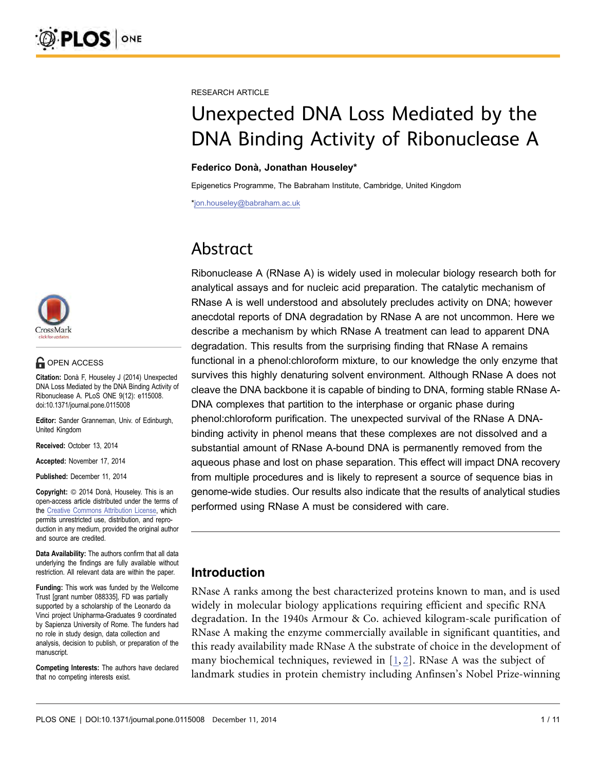

#### **OPEN ACCESS**

Citation: Donà F, Houseley J (2014) Unexpected DNA Loss Mediated by the DNA Binding Activity of Ribonuclease A. PLoS ONE 9(12): e115008. doi:10.1371/journal.pone.0115008

Editor: Sander Granneman, Univ. of Edinburgh, United Kingdom

Received: October 13, 2014

Accepted: November 17, 2014

Published: December 11, 2014

**Copyright:** © 2014 Donà, Houseley. This is an open-access article distributed under the terms of the [Creative Commons Attribution License](http://creativecommons.org/licenses/by/4.0/), which permits unrestricted use, distribution, and reproduction in any medium, provided the original author and source are credited.

Data Availability: The authors confirm that all data underlying the findings are fully available without restriction. All relevant data are within the paper.

Funding: This work was funded by the Wellcome Trust [grant number 088335], FD was partially supported by a scholarship of the Leonardo da Vinci project Unipharma-Graduates 9 coordinated by Sapienza University of Rome. The funders had no role in study design, data collection and analysis, decision to publish, or preparation of the manuscript.

Competing Interests: The authors have declared that no competing interests exist.

RESEARCH ARTICLE

# Unexpected DNA Loss Mediated by the DNA Binding Activity of Ribonuclease A

#### Federico Donà, Jonathan Houseley\*

Epigenetics Programme, The Babraham Institute, Cambridge, United Kingdom

\*jon.houseley@babraham.ac.uk

# Abstract

Ribonuclease A (RNase A) is widely used in molecular biology research both for analytical assays and for nucleic acid preparation. The catalytic mechanism of RNase A is well understood and absolutely precludes activity on DNA; however anecdotal reports of DNA degradation by RNase A are not uncommon. Here we describe a mechanism by which RNase A treatment can lead to apparent DNA degradation. This results from the surprising finding that RNase A remains functional in a phenol:chloroform mixture, to our knowledge the only enzyme that survives this highly denaturing solvent environment. Although RNase A does not cleave the DNA backbone it is capable of binding to DNA, forming stable RNase A-DNA complexes that partition to the interphase or organic phase during phenol:chloroform purification. The unexpected survival of the RNase A DNAbinding activity in phenol means that these complexes are not dissolved and a substantial amount of RNase A-bound DNA is permanently removed from the aqueous phase and lost on phase separation. This effect will impact DNA recovery from multiple procedures and is likely to represent a source of sequence bias in genome-wide studies. Our results also indicate that the results of analytical studies performed using RNase A must be considered with care.

# Introduction

RNase A ranks among the best characterized proteins known to man, and is used widely in molecular biology applications requiring efficient and specific RNA degradation. In the 1940s Armour & Co. achieved kilogram-scale purification of RNase A making the enzyme commercially available in significant quantities, and this ready availability made RNase A the substrate of choice in the development of many biochemical techniques, reviewed in [\[1,](#page-9-0) [2\]](#page-9-0). RNase A was the subject of landmark studies in protein chemistry including Anfinsen's Nobel Prize-winning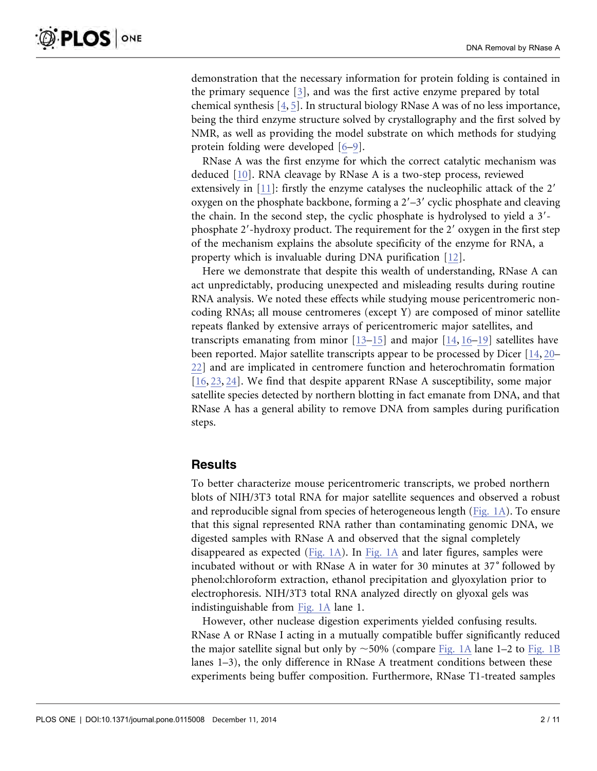demonstration that the necessary information for protein folding is contained in the primary sequence [\[3\],](#page-9-0) and was the first active enzyme prepared by total chemical synthesis [\[4,](#page-9-0) [5\]](#page-9-0). In structural biology RNase A was of no less importance, being the third enzyme structure solved by crystallography and the first solved by NMR, as well as providing the model substrate on which methods for studying protein folding were developed [\[6–9\].](#page-9-0)

RNase A was the first enzyme for which the correct catalytic mechanism was deduced [\[10\].](#page-9-0) RNA cleavage by RNase A is a two-step process, reviewed extensively in  $[11]$ : firstly the enzyme catalyses the nucleophilic attack of the 2' oxygen on the phosphate backbone, forming a  $2'-3'$  cyclic phosphate and cleaving the chain. In the second step, the cyclic phosphate is hydrolysed to yield a  $3'$ phosphate  $2'$ -hydroxy product. The requirement for the  $2'$  oxygen in the first step of the mechanism explains the absolute specificity of the enzyme for RNA, a property which is invaluable during DNA purification [\[12\].](#page-9-0)

Here we demonstrate that despite this wealth of understanding, RNase A can act unpredictably, producing unexpected and misleading results during routine RNA analysis. We noted these effects while studying mouse pericentromeric noncoding RNAs; all mouse centromeres (except Y) are composed of minor satellite repeats flanked by extensive arrays of pericentromeric major satellites, and transcripts emanating from minor [\[13–15\]](#page-9-0) and major [\[14,](#page-9-0) [16–](#page-9-0)[19](#page-10-0)[\]](#page-9-0) satellites have been reported. Major satellite transcripts appear to be processed by Dicer [\[14,](#page-9-0) [20–](#page-9-0) [22](#page-10-0)[\]](#page-9-0) and are implicated in centromere function and heterochromatin formation [\[16,](#page-9-0) [23,](#page-10-0) [24](#page-10-0)[\]](#page-9-0). We find that despite apparent RNase A susceptibility, some major satellite species detected by northern blotting in fact emanate from DNA, and that RNase A has a general ability to remove DNA from samples during purification steps.

#### **Results**

To better characterize mouse pericentromeric transcripts, we probed northern blots of NIH/3T3 total RNA for major satellite sequences and observed a robust and reproducible signal from species of heterogeneous length [\(Fig. 1A](#page-2-0)). To ensure that this signal represented RNA rather than contaminating genomic DNA, we digested samples with RNase A and observed that the signal completely disappeared as expected ([Fig. 1A](#page-2-0)). In [Fig. 1A](#page-2-0) and later figures, samples were incubated without or with RNase A in water for 30 minutes at 37˚ followed by phenol:chloroform extraction, ethanol precipitation and glyoxylation prior to electrophoresis. NIH/3T3 total RNA analyzed directly on glyoxal gels was indistinguishable from [Fig. 1A](#page-2-0) lane 1.

However, other nuclease digestion experiments yielded confusing results. RNase A or RNase I acting in a mutually compatible buffer significantly reduced the major satellite signal but only by  $\sim$  50% (compare [Fig. 1A](#page-2-0) lane 1–2 to [Fig. 1B](#page-2-0) lanes 1–3), the only difference in RNase A treatment conditions between these experiments being buffer composition. Furthermore, RNase T1-treated samples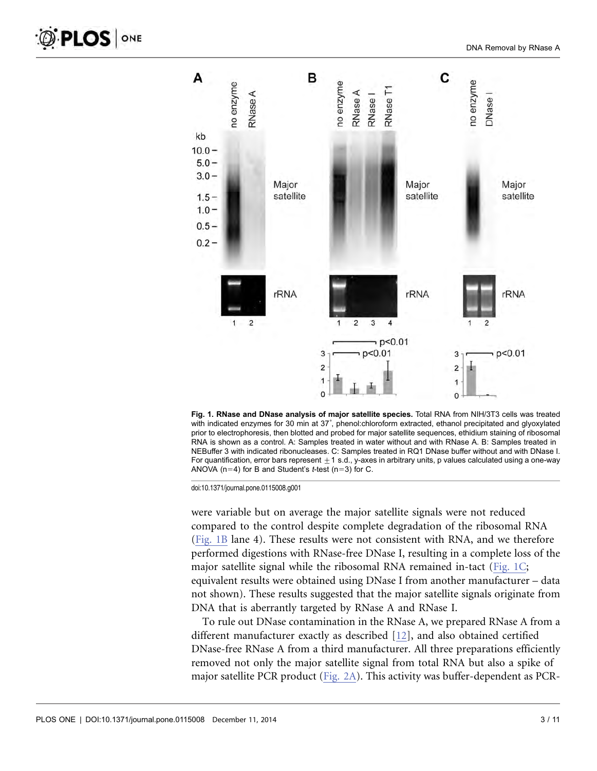<span id="page-2-0"></span>

Fig. 1. RNase and DNase analysis of major satellite species. Total RNA from NIH/3T3 cells was treated with indicated enzymes for 30 min at 37˚, phenol:chloroform extracted, ethanol precipitated and glyoxylated prior to electrophoresis, then blotted and probed for major satellite sequences, ethidium staining of ribosomal RNA is shown as a control. A: Samples treated in water without and with RNase A. B: Samples treated in NEBuffer 3 with indicated ribonucleases. C: Samples treated in RQ1 DNase buffer without and with DNase I. For quantification, error bars represent  $\pm 1$  s.d., y-axes in arbitrary units, p values calculated using a one-way ANOVA ( $n=4$ ) for B and Student's *t*-test ( $n=3$ ) for C.

doi:10.1371/journal.pone.0115008.g001

were variable but on average the major satellite signals were not reduced compared to the control despite complete degradation of the ribosomal RNA (Fig. 1B lane 4). These results were not consistent with RNA, and we therefore performed digestions with RNase-free DNase I, resulting in a complete loss of the major satellite signal while the ribosomal RNA remained in-tact (Fig. 1C; equivalent results were obtained using DNase I from another manufacturer – data not shown). These results suggested that the major satellite signals originate from DNA that is aberrantly targeted by RNase A and RNase I.

To rule out DNase contamination in the RNase A, we prepared RNase A from a different manufacturer exactly as described [\[12\],](#page-9-0) and also obtained certified DNase-free RNase A from a third manufacturer. All three preparations efficiently removed not only the major satellite signal from total RNA but also a spike of major satellite PCR product ([Fig. 2A\)](#page-3-0). This activity was buffer-dependent as PCR-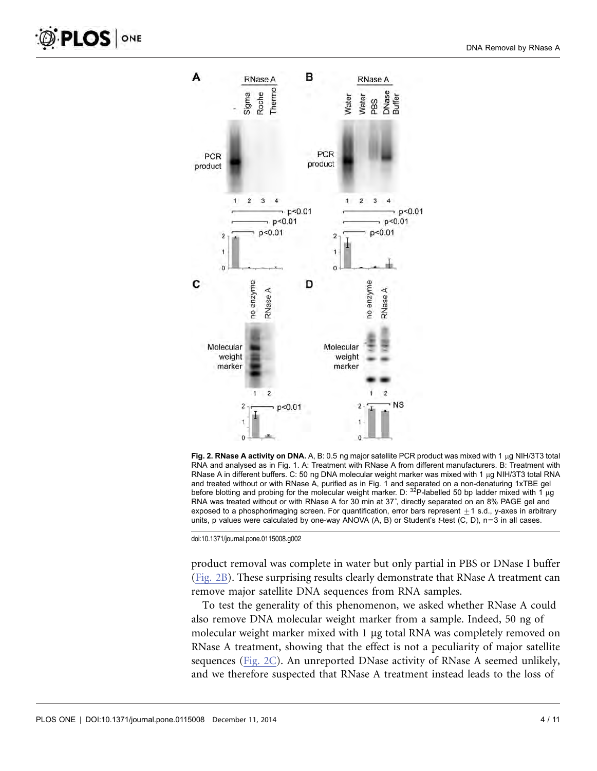<span id="page-3-0"></span>

Fig. 2. RNase A activity on DNA. A, B: 0.5 ng major satellite PCR product was mixed with 1  $\mu$ g NIH/3T3 total RNA and analysed as in Fig. 1. A: Treatment with RNase A from different manufacturers. B: Treatment with RNase A in different buffers. C: 50 ng DNA molecular weight marker was mixed with 1 µg NIH/3T3 total RNA and treated without or with RNase A, purified as in Fig. 1 and separated on a non-denaturing 1xTBE gel before blotting and probing for the molecular weight marker. D: <sup>32</sup>P-labelled 50 bp ladder mixed with 1 µg RNA was treated without or with RNase A for 30 min at 37˚, directly separated on an 8% PAGE gel and exposed to a phosphorimaging screen. For quantification, error bars represent  $\pm$  1 s.d., y-axes in arbitrary units, p values were calculated by one-way ANOVA  $(A, B)$  or Student's t-test  $(C, D)$ , n=3 in all cases.

doi:10.1371/journal.pone.0115008.g002

product removal was complete in water but only partial in PBS or DNase I buffer (Fig. 2B). These surprising results clearly demonstrate that RNase A treatment can remove major satellite DNA sequences from RNA samples.

To test the generality of this phenomenon, we asked whether RNase A could also remove DNA molecular weight marker from a sample. Indeed, 50 ng of molecular weight marker mixed with 1 µg total RNA was completely removed on RNase A treatment, showing that the effect is not a peculiarity of major satellite sequences (Fig. 2C). An unreported DNase activity of RNase A seemed unlikely, and we therefore suspected that RNase A treatment instead leads to the loss of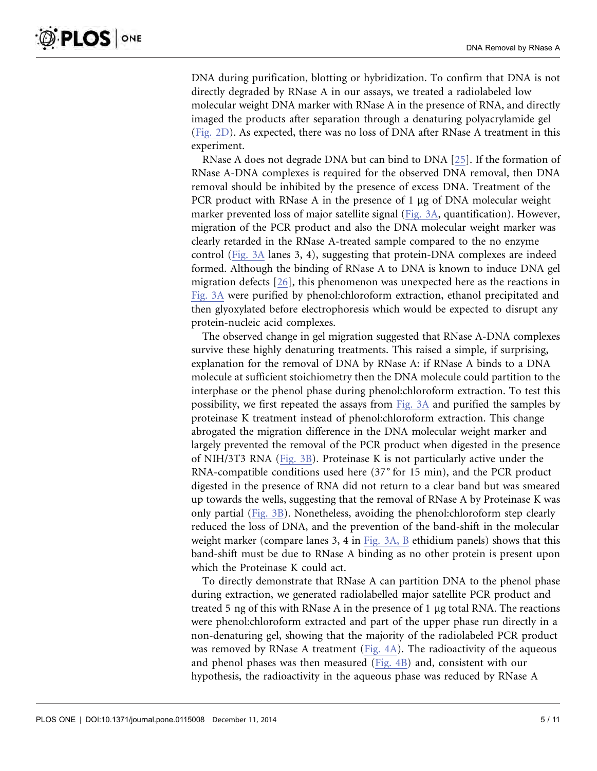DNA during purification, blotting or hybridization. To confirm that DNA is not directly degraded by RNase A in our assays, we treated a radiolabeled low molecular weight DNA marker with RNase A in the presence of RNA, and directly imaged the products after separation through a denaturing polyacrylamide gel ([Fig. 2D](#page-3-0)). As expected, there was no loss of DNA after RNase A treatment in this experiment.

RNase A does not degrade DNA but can bind to DNA [\[25\].](#page-10-0) If the formation of RNase A-DNA complexes is required for the observed DNA removal, then DNA removal should be inhibited by the presence of excess DNA. Treatment of the PCR product with RNase A in the presence of  $1 \mu$ g of DNA molecular weight marker prevented loss of major satellite signal ([Fig. 3A,](#page-5-0) quantification). However, migration of the PCR product and also the DNA molecular weight marker was clearly retarded in the RNase A-treated sample compared to the no enzyme control ([Fig. 3A](#page-5-0) lanes 3, 4), suggesting that protein-DNA complexes are indeed formed. Although the binding of RNase A to DNA is known to induce DNA gel migration defects [\[26\],](#page-10-0) this phenomenon was unexpected here as the reactions in [Fig. 3A](#page-5-0) were purified by phenol:chloroform extraction, ethanol precipitated and then glyoxylated before electrophoresis which would be expected to disrupt any protein-nucleic acid complexes.

The observed change in gel migration suggested that RNase A-DNA complexes survive these highly denaturing treatments. This raised a simple, if surprising, explanation for the removal of DNA by RNase A: if RNase A binds to a DNA molecule at sufficient stoichiometry then the DNA molecule could partition to the interphase or the phenol phase during phenol:chloroform extraction. To test this possibility, we first repeated the assays from [Fig. 3A](#page-5-0) and purified the samples by proteinase K treatment instead of phenol:chloroform extraction. This change abrogated the migration difference in the DNA molecular weight marker and largely prevented the removal of the PCR product when digested in the presence of NIH/3T3 RNA [\(Fig. 3B](#page-5-0)). Proteinase K is not particularly active under the RNA-compatible conditions used here (37˚ for 15 min), and the PCR product digested in the presence of RNA did not return to a clear band but was smeared up towards the wells, suggesting that the removal of RNase A by Proteinase K was only partial [\(Fig. 3B](#page-5-0)). Nonetheless, avoiding the phenol:chloroform step clearly reduced the loss of DNA, and the prevention of the band-shift in the molecular weight marker (compare lanes 3, 4 in [Fig. 3A, B](#page-5-0) ethidium panels) shows that this band-shift must be due to RNase A binding as no other protein is present upon which the Proteinase K could act.

To directly demonstrate that RNase A can partition DNA to the phenol phase during extraction, we generated radiolabelled major satellite PCR product and treated 5 ng of this with RNase A in the presence of  $1 \mu$ g total RNA. The reactions were phenol:chloroform extracted and part of the upper phase run directly in a non-denaturing gel, showing that the majority of the radiolabeled PCR product was removed by RNase A treatment ([Fig. 4A\)](#page-6-0). The radioactivity of the aqueous and phenol phases was then measured ([Fig. 4B\)](#page-6-0) and, consistent with our hypothesis, the radioactivity in the aqueous phase was reduced by RNase A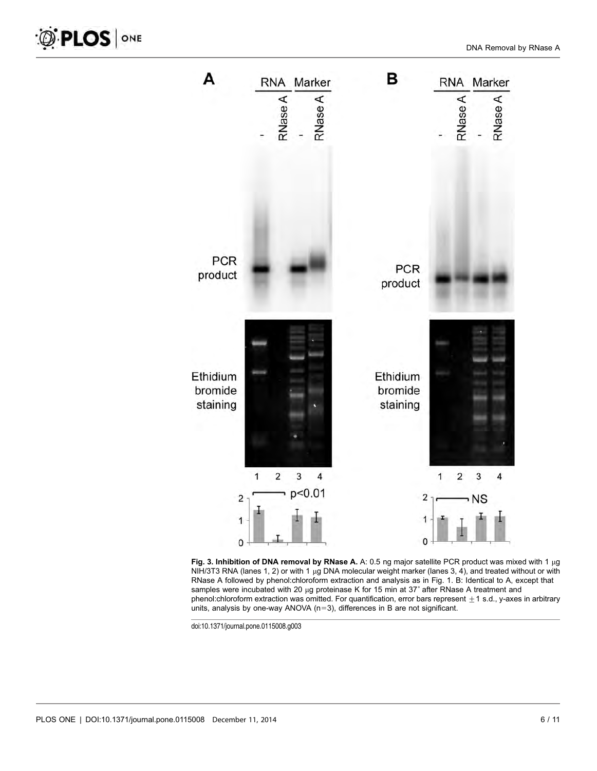<span id="page-5-0"></span>



doi:10.1371/journal.pone.0115008.g003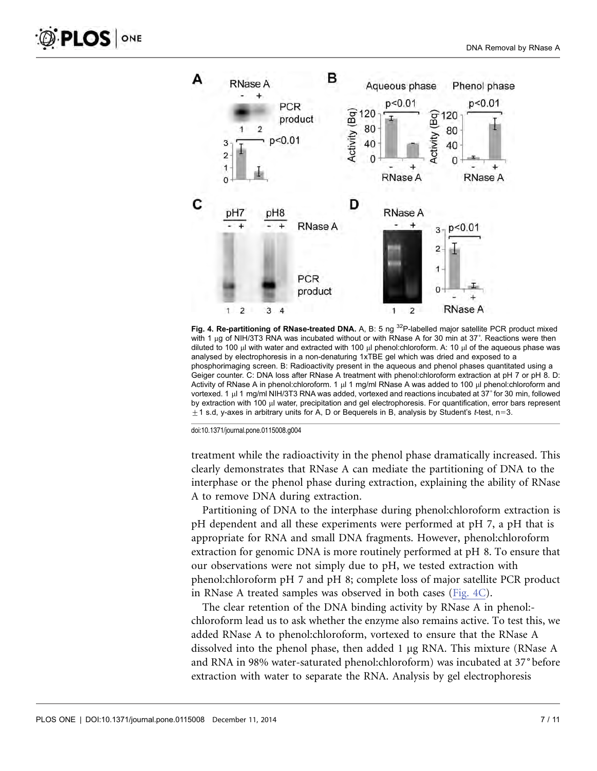<span id="page-6-0"></span>

Fig. 4. Re-partitioning of RNase-treated DNA. A, B: 5 ng <sup>32</sup>P-labelled major satellite PCR product mixed with 1 µg of NIH/3T3 RNA was incubated without or with RNase A for 30 min at 37°. Reactions were then diluted to 100  $\mu$ l with water and extracted with 100  $\mu$ l phenol:chloroform. A: 10  $\mu$ l of the aqueous phase was analysed by electrophoresis in a non-denaturing 1xTBE gel which was dried and exposed to a phosphorimaging screen. B: Radioactivity present in the aqueous and phenol phases quantitated using a Geiger counter. C: DNA loss after RNase A treatment with phenol:chloroform extraction at pH 7 or pH 8. D: Activity of RNase A in phenol:chloroform. 1  $\mu$  1 mg/ml RNase A was added to 100  $\mu$  phenol:chloroform and vortexed. 1 µ 1 mg/ml NIH/3T3 RNA was added, vortexed and reactions incubated at 37° for 30 min, followed by extraction with 100  $\mu$ l water, precipitation and gel electrophoresis. For quantification, error bars represent  $\pm$ 1 s.d, y-axes in arbitrary units for A, D or Bequerels in B, analysis by Student's t-test, n=3.

doi:10.1371/journal.pone.0115008.g004

treatment while the radioactivity in the phenol phase dramatically increased. This clearly demonstrates that RNase A can mediate the partitioning of DNA to the interphase or the phenol phase during extraction, explaining the ability of RNase A to remove DNA during extraction.

Partitioning of DNA to the interphase during phenol:chloroform extraction is pH dependent and all these experiments were performed at pH 7, a pH that is appropriate for RNA and small DNA fragments. However, phenol:chloroform extraction for genomic DNA is more routinely performed at pH 8. To ensure that our observations were not simply due to pH, we tested extraction with phenol:chloroform pH 7 and pH 8; complete loss of major satellite PCR product in RNase A treated samples was observed in both cases (Fig. 4C).

The clear retention of the DNA binding activity by RNase A in phenol:chloroform lead us to ask whether the enzyme also remains active. To test this, we added RNase A to phenol:chloroform, vortexed to ensure that the RNase A dissolved into the phenol phase, then added 1  $\mu$ g RNA. This mixture (RNase A and RNA in 98% water-saturated phenol:chloroform) was incubated at 37˚before extraction with water to separate the RNA. Analysis by gel electrophoresis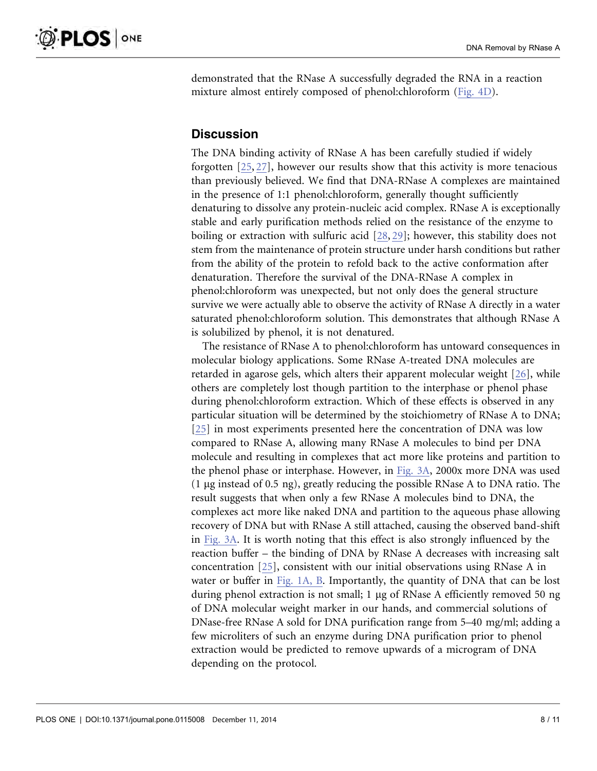demonstrated that the RNase A successfully degraded the RNA in a reaction mixture almost entirely composed of phenol:chloroform ([Fig. 4D](#page-6-0)).

## **Discussion**

The DNA binding activity of RNase A has been carefully studied if widely forgotten [\[25,](#page-10-0) [27\]](#page-10-0), however our results show that this activity is more tenacious than previously believed. We find that DNA-RNase A complexes are maintained in the presence of 1:1 phenol:chloroform, generally thought sufficiently denaturing to dissolve any protein-nucleic acid complex. RNase A is exceptionally stable and early purification methods relied on the resistance of the enzyme to boiling or extraction with sulfuric acid [\[28,](#page-10-0) [29\];](#page-10-0) however, this stability does not stem from the maintenance of protein structure under harsh conditions but rather from the ability of the protein to refold back to the active conformation after denaturation. Therefore the survival of the DNA-RNase A complex in phenol:chloroform was unexpected, but not only does the general structure survive we were actually able to observe the activity of RNase A directly in a water saturated phenol:chloroform solution. This demonstrates that although RNase A is solubilized by phenol, it is not denatured.

The resistance of RNase A to phenol:chloroform has untoward consequences in molecular biology applications. Some RNase A-treated DNA molecules are retarded in agarose gels, which alters their apparent molecular weight [\[26\]](#page-10-0), while others are completely lost though partition to the interphase or phenol phase during phenol:chloroform extraction. Which of these effects is observed in any particular situation will be determined by the stoichiometry of RNase A to DNA; [\[25\]](#page-10-0) in most experiments presented here the concentration of DNA was low compared to RNase A, allowing many RNase A molecules to bind per DNA molecule and resulting in complexes that act more like proteins and partition to the phenol phase or interphase. However, in [Fig. 3A,](#page-5-0) 2000x more DNA was used (1  $\mu$ g instead of 0.5 ng), greatly reducing the possible RNase A to DNA ratio. The result suggests that when only a few RNase A molecules bind to DNA, the complexes act more like naked DNA and partition to the aqueous phase allowing recovery of DNA but with RNase A still attached, causing the observed band-shift in [Fig. 3A](#page-5-0). It is worth noting that this effect is also strongly influenced by the reaction buffer – the binding of DNA by RNase A decreases with increasing salt concentration [\[25\]](#page-10-0), consistent with our initial observations using RNase A in water or buffer in [Fig. 1A, B.](#page-2-0) Importantly, the quantity of DNA that can be lost during phenol extraction is not small;  $1 \mu$ g of RNase A efficiently removed 50 ng of DNA molecular weight marker in our hands, and commercial solutions of DNase-free RNase A sold for DNA purification range from 5–40 mg/ml; adding a few microliters of such an enzyme during DNA purification prior to phenol extraction would be predicted to remove upwards of a microgram of DNA depending on the protocol.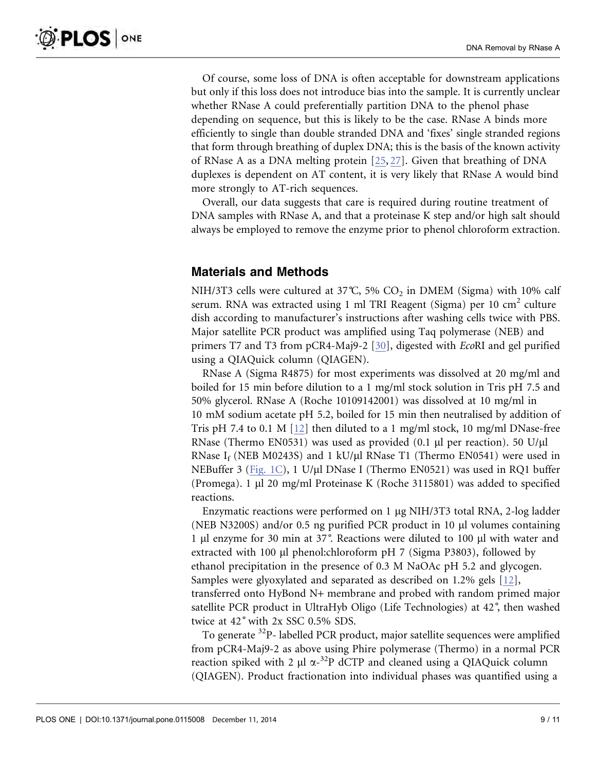Of course, some loss of DNA is often acceptable for downstream applications but only if this loss does not introduce bias into the sample. It is currently unclear whether RNase A could preferentially partition DNA to the phenol phase depending on sequence, but this is likely to be the case. RNase A binds more efficiently to single than double stranded DNA and 'fixes' single stranded regions that form through breathing of duplex DNA; this is the basis of the known activity of RNase A as a DNA melting protein [\[25,](#page-10-0) [27\].](#page-10-0) Given that breathing of DNA duplexes is dependent on AT content, it is very likely that RNase A would bind more strongly to AT-rich sequences.

Overall, our data suggests that care is required during routine treatment of DNA samples with RNase A, and that a proteinase K step and/or high salt should always be employed to remove the enzyme prior to phenol chloroform extraction.

# Materials and Methods

NIH/3T3 cells were cultured at 37°C, 5%  $CO<sub>2</sub>$  in DMEM (Sigma) with 10% calf serum. RNA was extracted using 1 ml TRI Reagent (Sigma) per 10 cm<sup>2</sup> culture dish according to manufacturer's instructions after washing cells twice with PBS. Major satellite PCR product was amplified using Taq polymerase (NEB) and primers T7 and T3 from pCR4-Maj9-2 [\[30\]](#page-10-0), digested with EcoRI and gel purified using a QIAQuick column (QIAGEN).

RNase A (Sigma R4875) for most experiments was dissolved at 20 mg/ml and boiled for 15 min before dilution to a 1 mg/ml stock solution in Tris pH 7.5 and 50% glycerol. RNase A (Roche 10109142001) was dissolved at 10 mg/ml in 10 mM sodium acetate pH 5.2, boiled for 15 min then neutralised by addition of Tris pH 7.4 to 0.1 M  $[12]$  then diluted to a 1 mg/ml stock, 10 mg/ml DNase-free RNase (Thermo EN0531) was used as provided (0.1  $\mu$ l per reaction). 50 U/ $\mu$ l RNase  $I_f$  (NEB M0243S) and 1 kU/µl RNase T1 (Thermo EN0541) were used in NEBuffer 3 [\(Fig. 1C\)](#page-2-0), 1 U/µl DNase I (Thermo EN0521) was used in RQ1 buffer (Promega). 1  $\mu$ l 20 mg/ml Proteinase K (Roche 3115801) was added to specified reactions.

Enzymatic reactions were performed on 1 µg NIH/3T3 total RNA, 2-log ladder (NEB N3200S) and/or 0.5 ng purified PCR product in 10  $\mu$ l volumes containing 1 ml enzyme for 30 min at 37˚. Reactions were diluted to 100 ml with water and extracted with 100 µl phenol:chloroform pH 7 (Sigma P3803), followed by ethanol precipitation in the presence of 0.3 M NaOAc pH 5.2 and glycogen. Samples were glyoxylated and separated as described on 1.2% gels [\[12\],](#page-9-0) transferred onto HyBond N+ membrane and probed with random primed major satellite PCR product in UltraHyb Oligo (Life Technologies) at 42˚, then washed twice at 42˚ with 2x SSC 0.5% SDS.

To generate <sup>32</sup>P- labelled PCR product, major satellite sequences were amplified from pCR4-Maj9-2 as above using Phire polymerase (Thermo) in a normal PCR reaction spiked with 2  $\mu$ l  $\alpha$ <sup>-32</sup>P dCTP and cleaned using a QIAQuick column (QIAGEN). Product fractionation into individual phases was quantified using a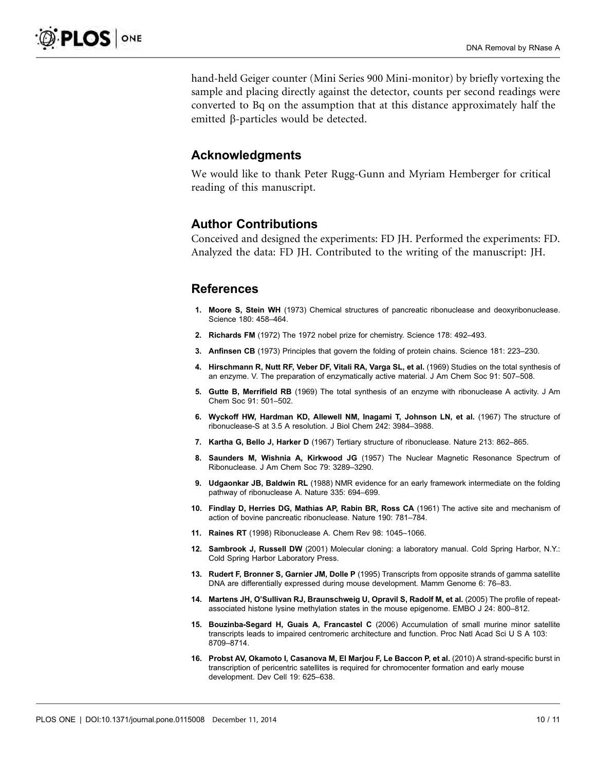<span id="page-9-0"></span>hand-held Geiger counter (Mini Series 900 Mini-monitor) by briefly vortexing the sample and placing directly against the detector, counts per second readings were converted to Bq on the assumption that at this distance approximately half the emitted  $\beta$ -particles would be detected.

#### Acknowledgments

We would like to thank Peter Rugg-Gunn and Myriam Hemberger for critical reading of this manuscript.

### Author Contributions

Conceived and designed the experiments: FD JH. Performed the experiments: FD. Analyzed the data: FD JH. Contributed to the writing of the manuscript: JH.

### **References**

- 1. Moore S, Stein WH (1973) Chemical structures of pancreatic ribonuclease and deoxyribonuclease. Science 180: 458–464.
- 2. Richards FM (1972) The 1972 nobel prize for chemistry. Science 178: 492–493.
- 3. Anfinsen CB (1973) Principles that govern the folding of protein chains. Science 181: 223–230.
- 4. Hirschmann R, Nutt RF, Veber DF, Vitali RA, Varga SL, et al. (1969) Studies on the total synthesis of an enzyme. V. The preparation of enzymatically active material. J Am Chem Soc 91: 507–508.
- 5. Gutte B, Merrifield RB (1969) The total synthesis of an enzyme with ribonuclease A activity. J Am Chem Soc 91: 501–502.
- 6. Wyckoff HW, Hardman KD, Allewell NM, Inagami T, Johnson LN, et al. (1967) The structure of ribonuclease-S at 3.5 A resolution. J Biol Chem 242: 3984–3988.
- 7. Kartha G, Bello J, Harker D (1967) Tertiary structure of ribonuclease. Nature 213: 862–865.
- 8. Saunders M, Wishnia A, Kirkwood JG (1957) The Nuclear Magnetic Resonance Spectrum of Ribonuclease. J Am Chem Soc 79: 3289–3290.
- 9. Udgaonkar JB, Baldwin RL (1988) NMR evidence for an early framework intermediate on the folding pathway of ribonuclease A. Nature 335: 694–699.
- 10. Findlay D, Herries DG, Mathias AP, Rabin BR, Ross CA (1961) The active site and mechanism of action of bovine pancreatic ribonuclease. Nature 190: 781–784.
- 11. Raines RT (1998) Ribonuclease A. Chem Rev 98: 1045–1066.
- 12. Sambrook J, Russell DW (2001) Molecular cloning: a laboratory manual. Cold Spring Harbor, N.Y.: Cold Spring Harbor Laboratory Press.
- 13. Rudert F, Bronner S, Garnier JM, Dolle P (1995) Transcripts from opposite strands of gamma satellite DNA are differentially expressed during mouse development. Mamm Genome 6: 76–83.
- 14. Martens JH, O'Sullivan RJ, Braunschweig U, Opravil S, Radolf M, et al. (2005) The profile of repeatassociated histone lysine methylation states in the mouse epigenome. EMBO J 24: 800–812.
- 15. Bouzinba-Segard H, Guais A, Francastel C (2006) Accumulation of small murine minor satellite transcripts leads to impaired centromeric architecture and function. Proc Natl Acad Sci U S A 103: 8709–8714.
- 16. Probst AV, Okamoto I, Casanova M, El Marjou F, Le Baccon P, et al. (2010) A strand-specific burst in transcription of pericentric satellites is required for chromocenter formation and early mouse development. Dev Cell 19: 625–638.